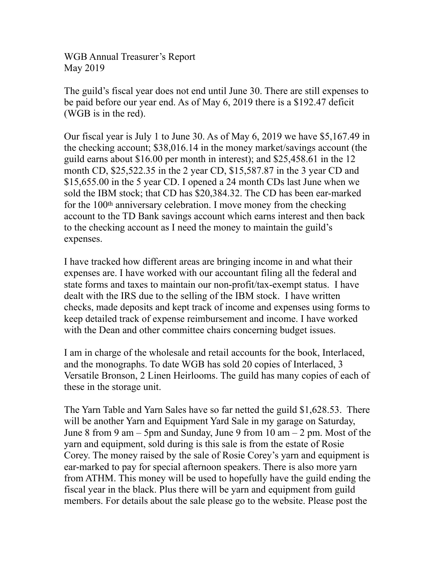WGB Annual Treasurer's Report May 2019

The guild's fiscal year does not end until June 30. There are still expenses to be paid before our year end. As of May 6, 2019 there is a \$192.47 deficit (WGB is in the red).

Our fiscal year is July 1 to June 30. As of May 6, 2019 we have \$5,167.49 in the checking account; \$38,016.14 in the money market/savings account (the guild earns about \$16.00 per month in interest); and \$25,458.61 in the 12 month CD, \$25,522.35 in the 2 year CD, \$15,587.87 in the 3 year CD and \$15,655.00 in the 5 year CD. I opened a 24 month CDs last June when we sold the IBM stock; that CD has \$20,384.32. The CD has been ear-marked for the 100th anniversary celebration. I move money from the checking account to the TD Bank savings account which earns interest and then back to the checking account as I need the money to maintain the guild's expenses.

I have tracked how different areas are bringing income in and what their expenses are. I have worked with our accountant filing all the federal and state forms and taxes to maintain our non-profit/tax-exempt status. I have dealt with the IRS due to the selling of the IBM stock. I have written checks, made deposits and kept track of income and expenses using forms to keep detailed track of expense reimbursement and income. I have worked with the Dean and other committee chairs concerning budget issues.

I am in charge of the wholesale and retail accounts for the book, Interlaced, and the monographs. To date WGB has sold 20 copies of Interlaced, 3 Versatile Bronson, 2 Linen Heirlooms. The guild has many copies of each of these in the storage unit.

The Yarn Table and Yarn Sales have so far netted the guild \$1,628.53. There will be another Yarn and Equipment Yard Sale in my garage on Saturday, June 8 from 9 am – 5pm and Sunday, June 9 from  $10 \text{ am} - 2 \text{ pm}$ . Most of the yarn and equipment, sold during is this sale is from the estate of Rosie Corey. The money raised by the sale of Rosie Corey's yarn and equipment is ear-marked to pay for special afternoon speakers. There is also more yarn from ATHM. This money will be used to hopefully have the guild ending the fiscal year in the black. Plus there will be yarn and equipment from guild members. For details about the sale please go to the website. Please post the